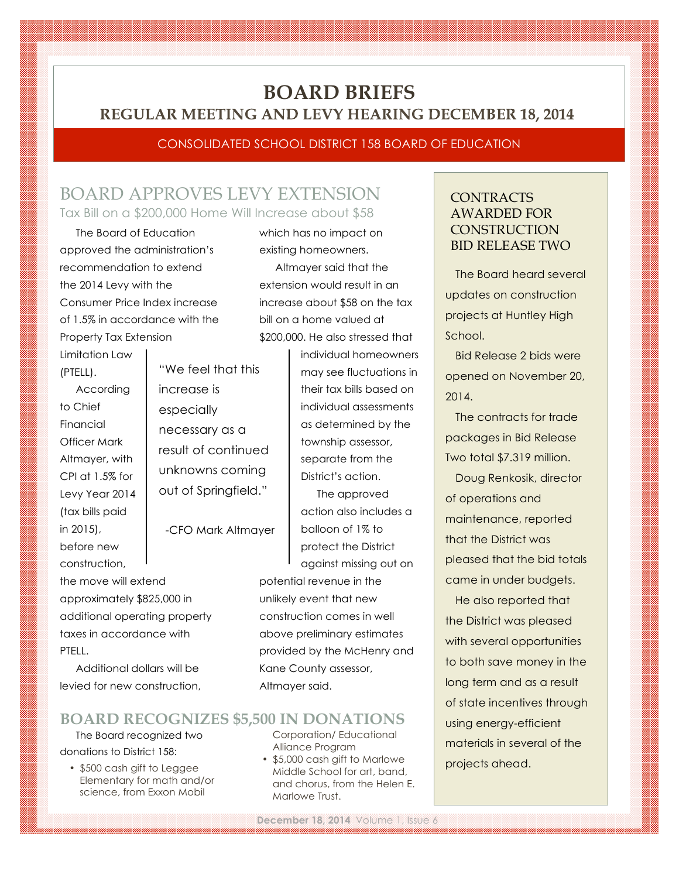# **BOARD BRIEFS REGULAR MEETING AND LEVY HEARING DECEMBER 18, 2014**

#### CONSOLIDATED SCHOOL DISTRICT 158 BOARD OF EDUCATION

## BOARD APPROVES LEVY EXTENSION Tax Bill on a \$200,000 Home Will Increase about \$58

The Board of Education approved the administration's recommendation to extend the 2014 Levy with the Consumer Price Index increase of 1.5% in accordance with the Property Tax Extension

Limitation Law (PTELL).

According to Chief Financial Officer Mark Altmayer, with CPI at 1.5% for Levy Year 2014 (tax bills paid in 2015), before new construction,

the move will extend approximately \$825,000 in additional operating property taxes in accordance with PTELL.

Additional dollars will be levied for new construction,

## **BOARD RECOGNIZES \$5,500 IN DONATIONS**

The Board recognized two donations to District 158:

• \$500 cash gift to Leggee Elementary for math and/or science, from Exxon Mobil

which has no impact on existing homeowners.

Altmayer said that the extension would result in an increase about \$58 on the tax bill on a home valued at \$200,000. He also stressed that

> individual homeowners may see fluctuations in their tax bills based on individual assessments as determined by the township assessor, separate from the District's action.

The approved action also includes a balloon of 1% to protect the District against missing out on

potential revenue in the unlikely event that new construction comes in well above preliminary estimates provided by the McHenry and Kane County assessor, Altmayer said.

#### Corporation/ Educational Alliance Program

• \$5,000 cash gift to Marlowe Middle School for art, band, and chorus, from the Helen E. Marlowe Trust.

### **CONTRACTS** AWARDED FOR **CONSTRUCTION** BID RELEASE TWO

The Board heard several updates on construction projects at Huntley High School.

Bid Release 2 bids were opened on November 20, 2014.

The contracts for trade packages in Bid Release Two total \$7.319 million.

Doug Renkosik, director of operations and maintenance, reported that the District was pleased that the bid totals came in under budgets.

He also reported that the District was pleased with several opportunities to both save money in the long term and as a result of state incentives through using energy-efficient materials in several of the projects ahead.

## "We feel that this increase is especially necessary as a result of continued unknowns coming out of Springfield."

-CFO Mark Altmayer